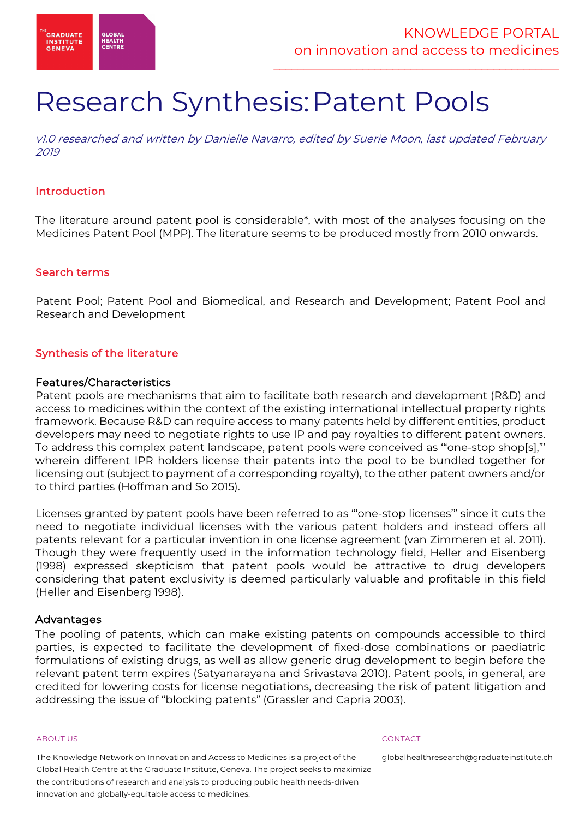

# Research Synthesis:Patent Pools

v1.0 researched and written by Danielle Navarro, edited by Suerie Moon, last updated February 2019

### Introduction

The literature around patent pool is considerable\*, with most of the analyses focusing on the Medicines Patent Pool (MPP). The literature seems to be produced mostly from 2010 onwards.

### Search terms

Patent Pool; Patent Pool and Biomedical, and Research and Development; Patent Pool and Research and Development

### Synthesis of the literature

### Features/Characteristics

Patent pools are mechanisms that aim to facilitate both research and development (R&D) and access to medicines within the context of the existing international intellectual property rights framework. Because R&D can require access to many patents held by different entities, product developers may need to negotiate rights to use IP and pay royalties to different patent owners. To address this complex patent landscape, patent pools were conceived as '"one-stop shop[s],"' wherein different IPR holders license their patents into the pool to be bundled together for licensing out (subject to payment of a corresponding royalty), to the other patent owners and/or to third parties (Hoffman and So 2015).

Licenses granted by patent pools have been referred to as "'one-stop licenses'" since it cuts the need to negotiate individual licenses with the various patent holders and instead offers all patents relevant for a particular invention in one license agreement (van Zimmeren et al. 2011). Though they were frequently used in the information technology field, Heller and Eisenberg (1998) expressed skepticism that patent pools would be attractive to drug developers considering that patent exclusivity is deemed particularly valuable and profitable in this field (Heller and Eisenberg 1998).

#### Advantages

The pooling of patents, which can make existing patents on compounds accessible to third parties, is expected to facilitate the development of fixed-dose combinations or paediatric formulations of existing drugs, as well as allow generic drug development to begin before the relevant patent term expires (Satyanarayana and Srivastava 2010). Patent pools, in general, are credited for lowering costs for license negotiations, decreasing the risk of patent litigation and addressing the issue of "blocking patents" (Grassler and Capria 2003).

#### ABOUT US CONTACT AND A RESERVE AND LODGED AT A RESERVE AND LODGED AT A RESERVE AND LODGED AT A RESERVE AND LODGED AT A RESERVE AND LODGED AT A RESERVE AND LODGED AT A RESERVE AND LODGED AT A RESERVE AND LODGED AT A RESERVE

The Knowledge Network on Innovation and Access to Medicines is a project of the Global Health Centre at the Graduate Institute, Geneva. The project seeks to maximize the contributions of research and analysis to producing public health needs-driven innovation and globally-equitable access to medicines.

 $\frac{1}{2}$  , and the set of the set of the set of the set of the set of the set of the set of the set of the set of the set of the set of the set of the set of the set of the set of the set of the set of the set of the set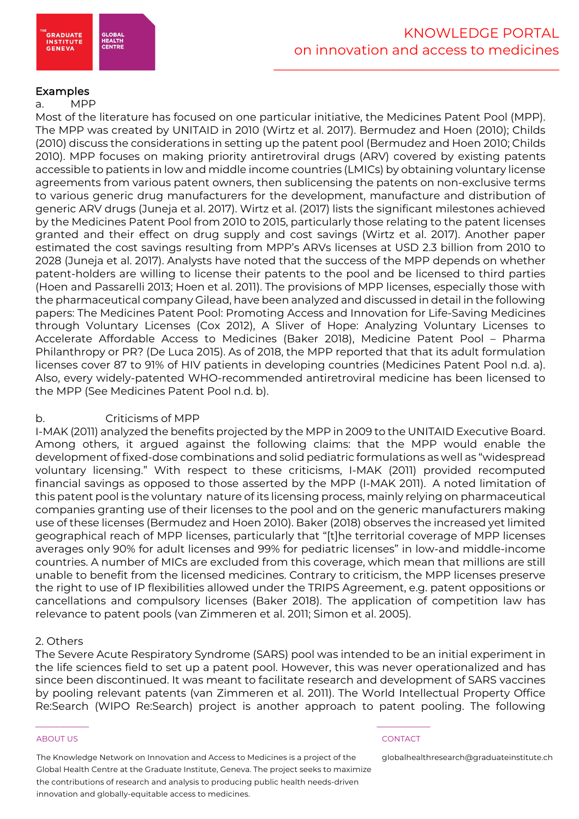

# Examples

#### a. MPP

Most of the literature has focused on one particular initiative, the Medicines Patent Pool (MPP). The MPP was created by UNITAID in 2010 (Wirtz et al. 2017). Bermudez and Hoen (2010); Childs (2010) discuss the considerations in setting up the patent pool (Bermudez and Hoen 2010; Childs 2010). MPP focuses on making priority antiretroviral drugs (ARV) covered by existing patents accessible to patients in low and middle income countries (LMICs) by obtaining voluntary license agreements from various patent owners, then sublicensing the patents on non-exclusive terms to various generic drug manufacturers for the development, manufacture and distribution of generic ARV drugs (Juneja et al. 2017). Wirtz et al. (2017) lists the significant milestones achieved by the Medicines Patent Pool from 2010 to 2015, particularly those relating to the patent licenses granted and their effect on drug supply and cost savings (Wirtz et al. 2017). Another paper estimated the cost savings resulting from MPP's ARVs licenses at USD 2.3 billion from 2010 to 2028 (Juneja et al. 2017). Analysts have noted that the success of the MPP depends on whether patent-holders are willing to license their patents to the pool and be licensed to third parties (Hoen and Passarelli 2013; Hoen et al. 2011). The provisions of MPP licenses, especially those with the pharmaceutical company Gilead, have been analyzed and discussed in detail in the following papers: The Medicines Patent Pool: Promoting Access and Innovation for Life-Saving Medicines through Voluntary Licenses (Cox 2012), A Sliver of Hope: Analyzing Voluntary Licenses to Accelerate Affordable Access to Medicines (Baker 2018), Medicine Patent Pool – Pharma Philanthropy or PR? (De Luca 2015). As of 2018, the MPP reported that that its adult formulation licenses cover 87 to 91% of HIV patients in developing countries (Medicines Patent Pool n.d. a). Also, every widely-patented WHO-recommended antiretroviral medicine has been licensed to the MPP (See Medicines Patent Pool n.d. b).

### b. Criticisms of MPP

I-MAK (2011) analyzed the benefits projected by the MPP in 2009 to the UNITAID Executive Board. Among others, it argued against the following claims: that the MPP would enable the development of fixed-dose combinations and solid pediatric formulations as well as "widespread voluntary licensing." With respect to these criticisms, I-MAK (2011) provided recomputed financial savings as opposed to those asserted by the MPP (I-MAK 2011). A noted limitation of this patent pool is the voluntary nature of its licensing process, mainly relying on pharmaceutical companies granting use of their licenses to the pool and on the generic manufacturers making use of these licenses (Bermudez and Hoen 2010). Baker (2018) observes the increased yet limited geographical reach of MPP licenses, particularly that "[t]he territorial coverage of MPP licenses averages only 90% for adult licenses and 99% for pediatric licenses" in low-and middle-income countries. A number of MICs are excluded from this coverage, which mean that millions are still unable to benefit from the licensed medicines. Contrary to criticism, the MPP licenses preserve the right to use of IP flexibilities allowed under the TRIPS Agreement, e.g. patent oppositions or cancellations and compulsory licenses (Baker 2018). The application of competition law has relevance to patent pools (van Zimmeren et al. 2011; Simon et al. 2005).

### 2. Others

The Severe Acute Respiratory Syndrome (SARS) pool was intended to be an initial experiment in the life sciences field to set up a patent pool. However, this was never operationalized and has since been discontinued. It was meant to facilitate research and development of SARS vaccines by pooling relevant patents (van Zimmeren et al. 2011). The World Intellectual Property Office Re:Search (WIPO Re:Search) project is another approach to patent pooling. The following

#### ABOUT US CONTACT AND A RESERVE AND LODGED AT A RESERVE AND LODGED AT A RESERVE AND LODGED AT A RESERVE AND LODGED AT A RESERVE AND LODGED AT A RESERVE AND LODGED AT A RESERVE AND LODGED AT A RESERVE AND LODGED AT A RESERVE

The Knowledge Network on Innovation and Access to Medicines is a project of the Global Health Centre at the Graduate Institute, Geneva. The project seeks to maximize the contributions of research and analysis to producing public health needs-driven innovation and globally-equitable access to medicines.

 $\frac{1}{2}$  , and the set of the set of the set of the set of the set of the set of the set of the set of the set of the set of the set of the set of the set of the set of the set of the set of the set of the set of the set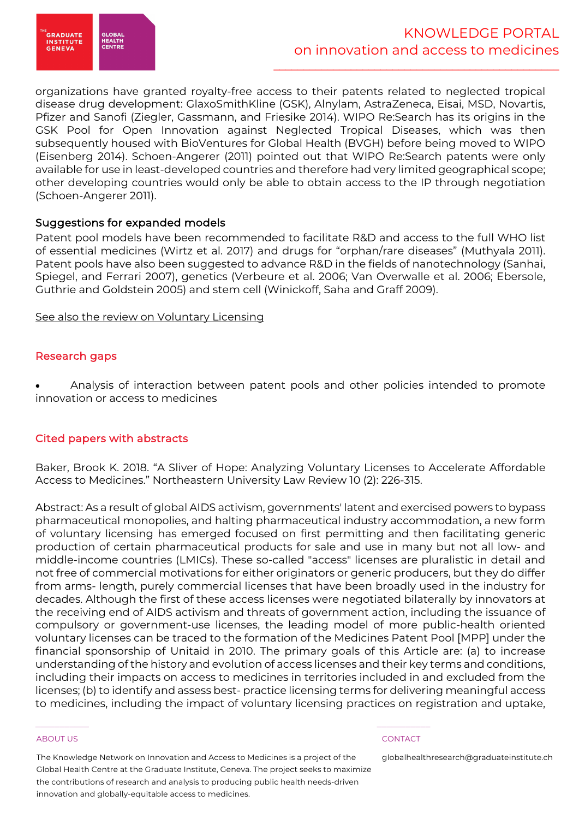

organizations have granted royalty-free access to their patents related to neglected tropical disease drug development: GlaxoSmithKline (GSK), Alnylam, AstraZeneca, Eisai, MSD, Novartis, Pfizer and Sanofi (Ziegler, Gassmann, and Friesike 2014). WIPO Re:Search has its origins in the GSK Pool for Open Innovation against Neglected Tropical Diseases, which was then subsequently housed with BioVentures for Global Health (BVGH) before being moved to WIPO (Eisenberg 2014). Schoen-Angerer (2011) pointed out that WIPO Re:Search patents were only available for use in least-developed countries and therefore had very limited geographical scope; other developing countries would only be able to obtain access to the IP through negotiation (Schoen-Angerer 2011).

# Suggestions for expanded models

Patent pool models have been recommended to facilitate R&D and access to the full WHO list of essential medicines (Wirtz et al. 2017) and drugs for "orphan/rare diseases" (Muthyala 2011). Patent pools have also been suggested to advance R&D in the fields of nanotechnology (Sanhai, Spiegel, and Ferrari 2007), genetics (Verbeure et al. 2006; Van Overwalle et al. 2006; Ebersole, Guthrie and Goldstein 2005) and stem cell (Winickoff, Saha and Graff 2009).

See also the review on Voluntary Licensing

# Research gaps

• Analysis of interaction between patent pools and other policies intended to promote innovation or access to medicines

### Cited papers with abstracts

Baker, Brook K. 2018. "A Sliver of Hope: Analyzing Voluntary Licenses to Accelerate Affordable Access to Medicines." Northeastern University Law Review 10 (2): 226-315.

Abstract: As a result of global AIDS activism, governments' latent and exercised powers to bypass pharmaceutical monopolies, and halting pharmaceutical industry accommodation, a new form of voluntary licensing has emerged focused on first permitting and then facilitating generic production of certain pharmaceutical products for sale and use in many but not all low- and middle-income countries (LMICs). These so-called "access" licenses are pluralistic in detail and not free of commercial motivations for either originators or generic producers, but they do differ from arms- length, purely commercial licenses that have been broadly used in the industry for decades. Although the first of these access licenses were negotiated bilaterally by innovators at the receiving end of AIDS activism and threats of government action, including the issuance of compulsory or government-use licenses, the leading model of more public-health oriented voluntary licenses can be traced to the formation of the Medicines Patent Pool [MPP] under the financial sponsorship of Unitaid in 2010. The primary goals of this Article are: (a) to increase understanding of the history and evolution of access licenses and their key terms and conditions, including their impacts on access to medicines in territories included in and excluded from the licenses; (b) to identify and assess best- practice licensing terms for delivering meaningful access to medicines, including the impact of voluntary licensing practices on registration and uptake,

#### ABOUT US CONTACT AND A RESERVE AND LODGED AT A RESERVE AND LODGED AT A RESERVE AND LODGED AT A RESERVE AND LODGED AT A RESERVE AND LODGED AT A RESERVE AND LODGED AT A RESERVE AND LODGED AT A RESERVE AND LODGED AT A RESERVE

The Knowledge Network on Innovation and Access to Medicines is a project of the Global Health Centre at the Graduate Institute, Geneva. The project seeks to maximize the contributions of research and analysis to producing public health needs-driven innovation and globally-equitable access to medicines.

 $\frac{1}{2}$  , and the set of the set of the set of the set of the set of the set of the set of the set of the set of the set of the set of the set of the set of the set of the set of the set of the set of the set of the set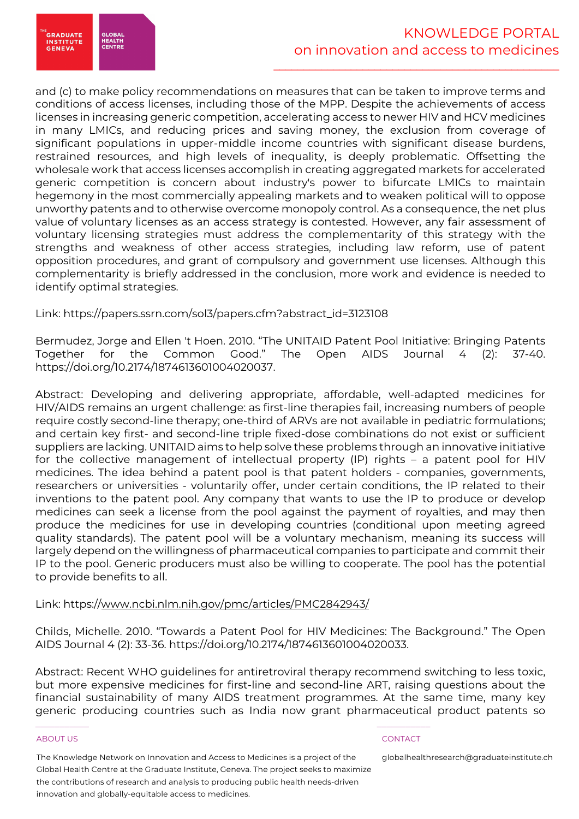.<br>GRADUATE<br>INSTITUTE **HEALTH<br>CENTR GENEVA** 

and (c) to make policy recommendations on measures that can be taken to improve terms and conditions of access licenses, including those of the MPP. Despite the achievements of access licenses in increasing generic competition, accelerating access to newer HIV and HCV medicines in many LMICs, and reducing prices and saving money, the exclusion from coverage of significant populations in upper-middle income countries with significant disease burdens, restrained resources, and high levels of inequality, is deeply problematic. Offsetting the wholesale work that access licenses accomplish in creating aggregated markets for accelerated generic competition is concern about industry's power to bifurcate LMICs to maintain hegemony in the most commercially appealing markets and to weaken political will to oppose unworthy patents and to otherwise overcome monopoly control. As a consequence, the net plus value of voluntary licenses as an access strategy is contested. However, any fair assessment of voluntary licensing strategies must address the complementarity of this strategy with the strengths and weakness of other access strategies, including law reform, use of patent opposition procedures, and grant of compulsory and government use licenses. Although this complementarity is briefly addressed in the conclusion, more work and evidence is needed to identify optimal strategies.

Link: https://papers.ssrn.com/sol3/papers.cfm?abstract\_id=3123108

Bermudez, Jorge and Ellen 't Hoen. 2010. "The UNITAID Patent Pool Initiative: Bringing Patents Together for the Common Good." The Open AIDS Journal 4 (2): 37-40. https://doi.org/10.2174/1874613601004020037.

Abstract: Developing and delivering appropriate, affordable, well-adapted medicines for HIV/AIDS remains an urgent challenge: as first-line therapies fail, increasing numbers of people require costly second-line therapy; one-third of ARVs are not available in pediatric formulations; and certain key first- and second-line triple fixed-dose combinations do not exist or sufficient suppliers are lacking. UNITAID aims to help solve these problems through an innovative initiative for the collective management of intellectual property (IP) rights – a patent pool for HIV medicines. The idea behind a patent pool is that patent holders - companies, governments, researchers or universities - voluntarily offer, under certain conditions, the IP related to their inventions to the patent pool. Any company that wants to use the IP to produce or develop medicines can seek a license from the pool against the payment of royalties, and may then produce the medicines for use in developing countries (conditional upon meeting agreed quality standards). The patent pool will be a voluntary mechanism, meaning its success will largely depend on the willingness of pharmaceutical companies to participate and commit their IP to the pool. Generic producers must also be willing to cooperate. The pool has the potential to provide benefits to all.

# Link: https://www.ncbi.nlm.nih.gov/pmc/articles/PMC2842943/

Childs, Michelle. 2010. "Towards a Patent Pool for HIV Medicines: The Background." The Open AIDS Journal 4 (2): 33-36. https://doi.org/10.2174/1874613601004020033.

Abstract: Recent WHO guidelines for antiretroviral therapy recommend switching to less toxic, but more expensive medicines for first-line and second-line ART, raising questions about the financial sustainability of many AIDS treatment programmes. At the same time, many key generic producing countries such as India now grant pharmaceutical product patents so

#### ABOUT US CONTACT AND A RESERVE AND LODGED AT A RESERVE AND LODGED AT A RESERVE AND LODGED AT A RESERVE AND LODGED AT A RESERVE AND LODGED AT A RESERVE AND LODGED AT A RESERVE AND LODGED AT A RESERVE AND LODGED AT A RESERVE

The Knowledge Network on Innovation and Access to Medicines is a project of the Global Health Centre at the Graduate Institute, Geneva. The project seeks to maximize the contributions of research and analysis to producing public health needs-driven innovation and globally-equitable access to medicines.

\_\_\_\_\_\_\_\_\_\_\_ \_\_\_\_\_\_\_\_\_\_\_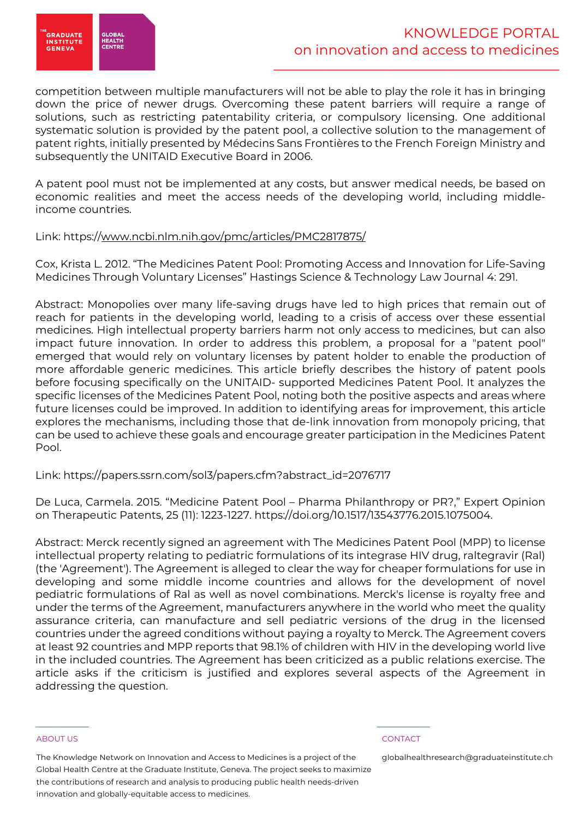

competition between multiple manufacturers will not be able to play the role it has in bringing down the price of newer drugs. Overcoming these patent barriers will require a range of solutions, such as restricting patentability criteria, or compulsory licensing. One additional systematic solution is provided by the patent pool, a collective solution to the management of patent rights, initially presented by Médecins Sans Frontières to the French Foreign Ministry and subsequently the UNITAID Executive Board in 2006.

A patent pool must not be implemented at any costs, but answer medical needs, be based on economic realities and meet the access needs of the developing world, including middleincome countries.

# Link: https://www.ncbi.nlm.nih.gov/pmc/articles/PMC2817875/

Cox, Krista L. 2012. "The Medicines Patent Pool: Promoting Access and Innovation for Life-Saving Medicines Through Voluntary Licenses" Hastings Science & Technology Law Journal 4: 291.

Abstract: Monopolies over many life-saving drugs have led to high prices that remain out of reach for patients in the developing world, leading to a crisis of access over these essential medicines. High intellectual property barriers harm not only access to medicines, but can also impact future innovation. In order to address this problem, a proposal for a "patent pool" emerged that would rely on voluntary licenses by patent holder to enable the production of more affordable generic medicines. This article briefly describes the history of patent pools before focusing specifically on the UNITAID- supported Medicines Patent Pool. It analyzes the specific licenses of the Medicines Patent Pool, noting both the positive aspects and areas where future licenses could be improved. In addition to identifying areas for improvement, this article explores the mechanisms, including those that de-link innovation from monopoly pricing, that can be used to achieve these goals and encourage greater participation in the Medicines Patent Pool.

# Link: https://papers.ssrn.com/sol3/papers.cfm?abstract\_id=2076717

De Luca, Carmela. 2015. "Medicine Patent Pool – Pharma Philanthropy or PR?," Expert Opinion on Therapeutic Patents, 25 (11): 1223-1227. https://doi.org/10.1517/13543776.2015.1075004.

Abstract: Merck recently signed an agreement with The Medicines Patent Pool (MPP) to license intellectual property relating to pediatric formulations of its integrase HIV drug, raltegravir (Ral) (the 'Agreement'). The Agreement is alleged to clear the way for cheaper formulations for use in developing and some middle income countries and allows for the development of novel pediatric formulations of Ral as well as novel combinations. Merck's license is royalty free and under the terms of the Agreement, manufacturers anywhere in the world who meet the quality assurance criteria, can manufacture and sell pediatric versions of the drug in the licensed countries under the agreed conditions without paying a royalty to Merck. The Agreement covers at least 92 countries and MPP reports that 98.1% of children with HIV in the developing world live in the included countries. The Agreement has been criticized as a public relations exercise. The article asks if the criticism is justified and explores several aspects of the Agreement in addressing the question.

#### ABOUT US CONTACT AND A RESERVE AND LODGED AT A RESERVE AND LODGED AT A RESERVE AND LODGED AT A RESERVE AND LODGED AT A RESERVE AND LODGED AT A RESERVE AND LODGED AT A RESERVE AND LODGED AT A RESERVE AND LODGED AT A RESERVE

The Knowledge Network on Innovation and Access to Medicines is a project of the Global Health Centre at the Graduate Institute, Geneva. The project seeks to maximize the contributions of research and analysis to producing public health needs-driven innovation and globally-equitable access to medicines.

\_\_\_\_\_\_\_\_\_\_\_ \_\_\_\_\_\_\_\_\_\_\_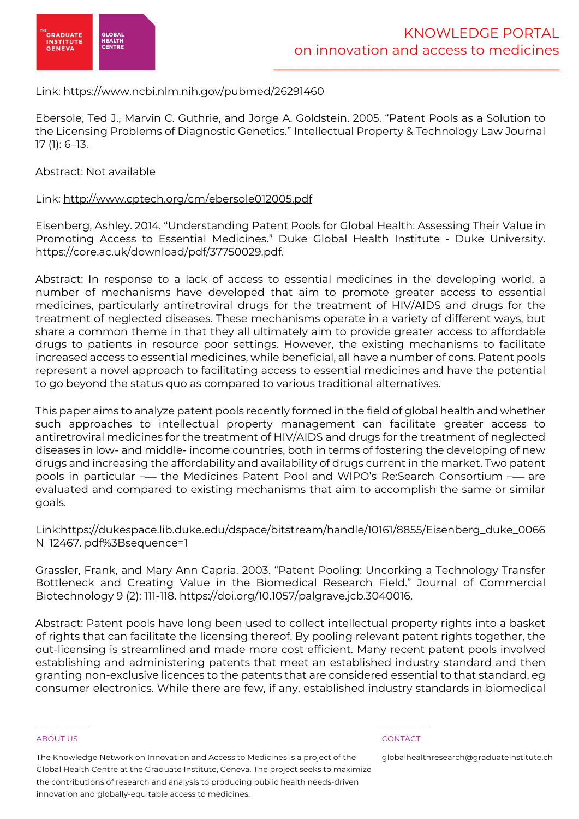

# Link: https://www.ncbi.nlm.nih.gov/pubmed/26291460

Ebersole, Ted J., Marvin C. Guthrie, and Jorge A. Goldstein. 2005. "Patent Pools as a Solution to the Licensing Problems of Diagnostic Genetics." Intellectual Property & Technology Law Journal 17 (1): 6–13.

# Abstract: Not available

# Link: http://www.cptech.org/cm/ebersole012005.pdf

Eisenberg, Ashley. 2014. "Understanding Patent Pools for Global Health: Assessing Their Value in Promoting Access to Essential Medicines." Duke Global Health Institute - Duke University. https://core.ac.uk/download/pdf/37750029.pdf.

Abstract: In response to a lack of access to essential medicines in the developing world, a number of mechanisms have developed that aim to promote greater access to essential medicines, particularly antiretroviral drugs for the treatment of HIV/AIDS and drugs for the treatment of neglected diseases. These mechanisms operate in a variety of different ways, but share a common theme in that they all ultimately aim to provide greater access to affordable drugs to patients in resource poor settings. However, the existing mechanisms to facilitate increased access to essential medicines, while beneficial, all have a number of cons. Patent pools represent a novel approach to facilitating access to essential medicines and have the potential to go beyond the status quo as compared to various traditional alternatives.

This paper aims to analyze patent pools recently formed in the field of global health and whether such approaches to intellectual property management can facilitate greater access to antiretroviral medicines for the treatment of HIV/AIDS and drugs for the treatment of neglected diseases in low- and middle- income countries, both in terms of fostering the developing of new drugs and increasing the affordability and availability of drugs current in the market. Two patent pools in particular — the Medicines Patent Pool and WIPO's Re:Search Consortium — are evaluated and compared to existing mechanisms that aim to accomplish the same or similar goals.

Link:https://dukespace.lib.duke.edu/dspace/bitstream/handle/10161/8855/Eisenberg\_duke\_0066 N\_12467. pdf%3Bsequence=1

Grassler, Frank, and Mary Ann Capria. 2003. "Patent Pooling: Uncorking a Technology Transfer Bottleneck and Creating Value in the Biomedical Research Field." Journal of Commercial Biotechnology 9 (2): 111-118. https://doi.org/10.1057/palgrave.jcb.3040016.

Abstract: Patent pools have long been used to collect intellectual property rights into a basket of rights that can facilitate the licensing thereof. By pooling relevant patent rights together, the out-licensing is streamlined and made more cost efficient. Many recent patent pools involved establishing and administering patents that meet an established industry standard and then granting non-exclusive licences to the patents that are considered essential to that standard, eg consumer electronics. While there are few, if any, established industry standards in biomedical

#### ABOUT US CONTACT AND A RESERVE AND LODGED AT A RESERVE AND LODGED AT A RESERVE AND LODGED AT A RESERVE AND LODGED AT A RESERVE AND LODGED AT A RESERVE AND LODGED AT A RESERVE AND LODGED AT A RESERVE AND LODGED AT A RESERVE

The Knowledge Network on Innovation and Access to Medicines is a project of the Global Health Centre at the Graduate Institute, Geneva. The project seeks to maximize the contributions of research and analysis to producing public health needs-driven innovation and globally-equitable access to medicines.

\_\_\_\_\_\_\_\_\_\_\_ \_\_\_\_\_\_\_\_\_\_\_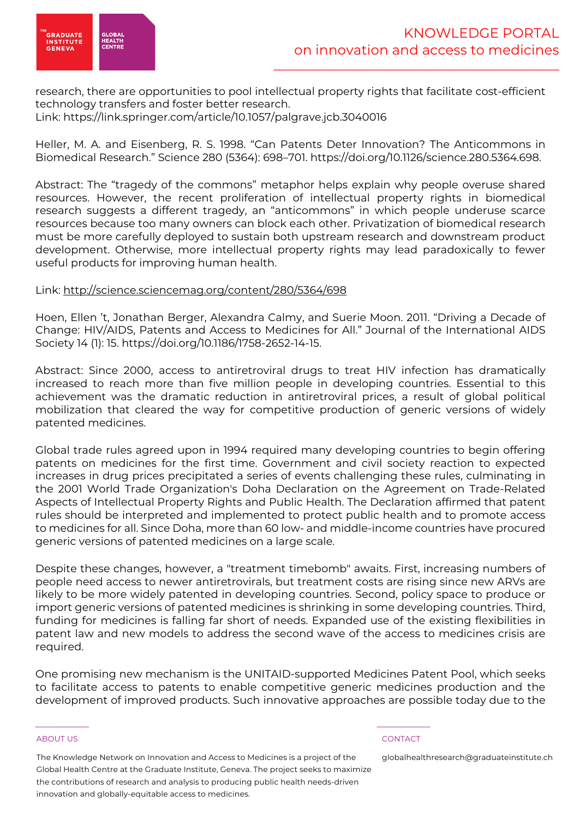

research, there are opportunities to pool intellectual property rights that facilitate cost-efficient technology transfers and foster better research. Link: https://link.springer.com/article/10.1057/palgrave.jcb.3040016

Heller, M. A. and Eisenberg, R. S. 1998. "Can Patents Deter Innovation? The Anticommons in Biomedical Research." Science 280 (5364): 698–701. https://doi.org/10.1126/science.280.5364.698.

Abstract: The "tragedy of the commons" metaphor helps explain why people overuse shared resources. However, the recent proliferation of intellectual property rights in biomedical research suggests a different tragedy, an "anticommons" in which people underuse scarce resources because too many owners can block each other. Privatization of biomedical research must be more carefully deployed to sustain both upstream research and downstream product development. Otherwise, more intellectual property rights may lead paradoxically to fewer useful products for improving human health.

# Link: http://science.sciencemag.org/content/280/5364/698

Hoen, Ellen 't, Jonathan Berger, Alexandra Calmy, and Suerie Moon. 2011. "Driving a Decade of Change: HIV/AIDS, Patents and Access to Medicines for All." Journal of the International AIDS Society 14 (1): 15. https://doi.org/10.1186/1758-2652-14-15.

Abstract: Since 2000, access to antiretroviral drugs to treat HIV infection has dramatically increased to reach more than five million people in developing countries. Essential to this achievement was the dramatic reduction in antiretroviral prices, a result of global political mobilization that cleared the way for competitive production of generic versions of widely patented medicines.

Global trade rules agreed upon in 1994 required many developing countries to begin offering patents on medicines for the first time. Government and civil society reaction to expected increases in drug prices precipitated a series of events challenging these rules, culminating in the 2001 World Trade Organization's Doha Declaration on the Agreement on Trade-Related Aspects of Intellectual Property Rights and Public Health. The Declaration affirmed that patent rules should be interpreted and implemented to protect public health and to promote access to medicines for all. Since Doha, more than 60 low- and middle-income countries have procured generic versions of patented medicines on a large scale.

Despite these changes, however, a "treatment timebomb" awaits. First, increasing numbers of people need access to newer antiretrovirals, but treatment costs are rising since new ARVs are likely to be more widely patented in developing countries. Second, policy space to produce or import generic versions of patented medicines is shrinking in some developing countries. Third, funding for medicines is falling far short of needs. Expanded use of the existing flexibilities in patent law and new models to address the second wave of the access to medicines crisis are required.

One promising new mechanism is the UNITAID-supported Medicines Patent Pool, which seeks to facilitate access to patents to enable competitive generic medicines production and the development of improved products. Such innovative approaches are possible today due to the

#### ABOUT US CONTACT AND A RESERVE AND LODGED AT A RESERVE AND LODGED AT A RESERVE AND LODGED AT A RESERVE AND LODGED AT A RESERVE AND LODGED AT A RESERVE AND LODGED AT A RESERVE AND LODGED AT A RESERVE AND LODGED AT A RESERVE

The Knowledge Network on Innovation and Access to Medicines is a project of the Global Health Centre at the Graduate Institute, Geneva. The project seeks to maximize the contributions of research and analysis to producing public health needs-driven innovation and globally-equitable access to medicines.

\_\_\_\_\_\_\_\_\_\_\_ \_\_\_\_\_\_\_\_\_\_\_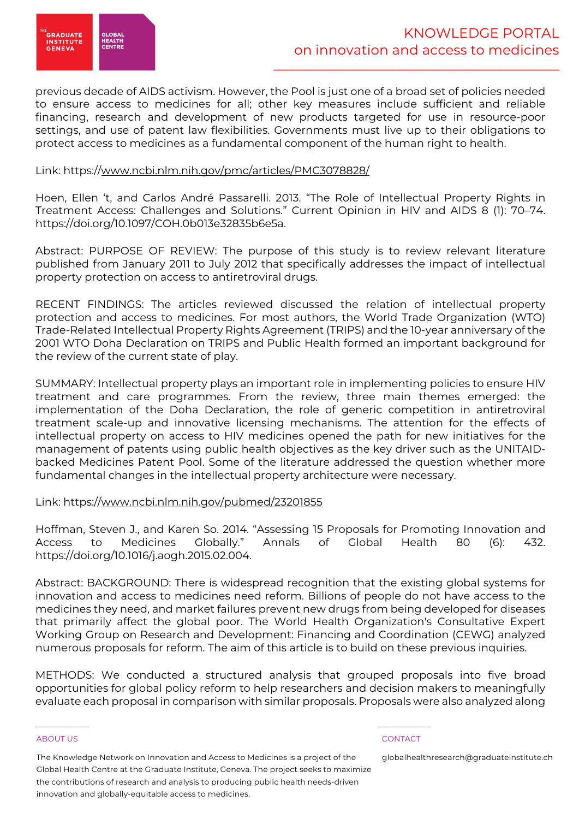

previous decade of AIDS activism. However, the Pool is just one of a broad set of policies needed to ensure access to medicines for all; other key measures include sufficient and reliable financing, research and development of new products targeted for use in resource-poor settings, and use of patent law flexibilities. Governments must live up to their obligations to protect access to medicines as a fundamental component of the human right to health.

# Link: https://www.ncbi.nlm.nih.gov/pmc/articles/PMC3078828/

Hoen, Ellen 't, and Carlos André Passarelli. 2013. "The Role of Intellectual Property Rights in Treatment Access: Challenges and Solutions." Current Opinion in HIV and AIDS 8 (1): 70–74. https://doi.org/10.1097/COH.0b013e32835b6e5a.

Abstract: PURPOSE OF REVIEW: The purpose of this study is to review relevant literature published from January 2011 to July 2012 that specifically addresses the impact of intellectual property protection on access to antiretroviral drugs.

RECENT FINDINGS: The articles reviewed discussed the relation of intellectual property protection and access to medicines. For most authors, the World Trade Organization (WTO) Trade-Related Intellectual Property Rights Agreement (TRIPS) and the 10-year anniversary of the 2001 WTO Doha Declaration on TRIPS and Public Health formed an important background for the review of the current state of play.

SUMMARY: Intellectual property plays an important role in implementing policies to ensure HIV treatment and care programmes. From the review, three main themes emerged: the implementation of the Doha Declaration, the role of generic competition in antiretroviral treatment scale-up and innovative licensing mechanisms. The attention for the effects of intellectual property on access to HIV medicines opened the path for new initiatives for the management of patents using public health objectives as the key driver such as the UNITAIDbacked Medicines Patent Pool. Some of the literature addressed the question whether more fundamental changes in the intellectual property architecture were necessary.

Link: https://www.ncbi.nlm.nih.gov/pubmed/23201855

Hoffman, Steven J., and Karen So. 2014. "Assessing 15 Proposals for Promoting Innovation and Access to Medicines Globally." Annals of Global Health 80 (6): 432. https://doi.org/10.1016/j.aogh.2015.02.004.

Abstract: BACKGROUND: There is widespread recognition that the existing global systems for innovation and access to medicines need reform. Billions of people do not have access to the medicines they need, and market failures prevent new drugs from being developed for diseases that primarily affect the global poor. The World Health Organization's Consultative Expert Working Group on Research and Development: Financing and Coordination (CEWG) analyzed numerous proposals for reform. The aim of this article is to build on these previous inquiries.

METHODS: We conducted a structured analysis that grouped proposals into five broad opportunities for global policy reform to help researchers and decision makers to meaningfully evaluate each proposal in comparison with similar proposals. Proposals were also analyzed along

#### ABOUT US CONTACT AND A RESERVE AND LODGED AT A RESERVE AND LODGED AT A RESERVE AND LODGED AT A RESERVE AND LODGED AT A RESERVE AND LODGED AT A RESERVE AND LODGED AT A RESERVE AND LODGED AT A RESERVE AND LODGED AT A RESERVE

The Knowledge Network on Innovation and Access to Medicines is a project of the Global Health Centre at the Graduate Institute, Geneva. The project seeks to maximize the contributions of research and analysis to producing public health needs-driven innovation and globally-equitable access to medicines.

\_\_\_\_\_\_\_\_\_\_\_ \_\_\_\_\_\_\_\_\_\_\_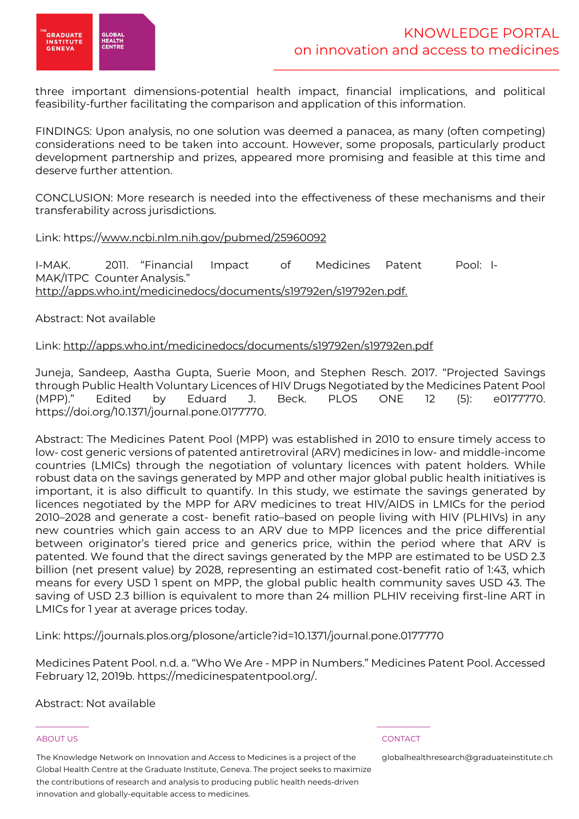

three important dimensions-potential health impact, financial implications, and political feasibility-further facilitating the comparison and application of this information.

FINDINGS: Upon analysis, no one solution was deemed a panacea, as many (often competing) considerations need to be taken into account. However, some proposals, particularly product development partnership and prizes, appeared more promising and feasible at this time and deserve further attention.

CONCLUSION: More research is needed into the effectiveness of these mechanisms and their transferability across jurisdictions.

Link: https://www.ncbi.nlm.nih.gov/pubmed/25960092

I-MAK. 2011. "Financial Impact of Medicines Patent Pool: I-MAK/ITPC Counter Analysis." http://apps.who.int/medicinedocs/documents/s19792en/s19792en.pdf.

Abstract: Not available

# Link: http://apps.who.int/medicinedocs/documents/s19792en/s19792en.pdf

Juneja, Sandeep, Aastha Gupta, Suerie Moon, and Stephen Resch. 2017. "Projected Savings through Public Health Voluntary Licences of HIV Drugs Negotiated by the Medicines Patent Pool (MPP)." Edited by Eduard J. Beck. PLOS ONE 12 (5): e0177770. https://doi.org/10.1371/journal.pone.0177770.

Abstract: The Medicines Patent Pool (MPP) was established in 2010 to ensure timely access to low- cost generic versions of patented antiretroviral (ARV) medicines in low- and middle-income countries (LMICs) through the negotiation of voluntary licences with patent holders. While robust data on the savings generated by MPP and other major global public health initiatives is important, it is also difficult to quantify. In this study, we estimate the savings generated by licences negotiated by the MPP for ARV medicines to treat HIV/AIDS in LMICs for the period 2010–2028 and generate a cost- benefit ratio–based on people living with HIV (PLHIVs) in any new countries which gain access to an ARV due to MPP licences and the price differential between originator's tiered price and generics price, within the period where that ARV is patented. We found that the direct savings generated by the MPP are estimated to be USD 2.3 billion (net present value) by 2028, representing an estimated cost-benefit ratio of 1:43, which means for every USD 1 spent on MPP, the global public health community saves USD 43. The saving of USD 2.3 billion is equivalent to more than 24 million PLHIV receiving first-line ART in LMICs for 1 year at average prices today.

Link: https://journals.plos.org/plosone/article?id=10.1371/journal.pone.0177770

\_\_\_\_\_\_\_\_\_\_\_ \_\_\_\_\_\_\_\_\_\_\_

Medicines Patent Pool. n.d. a. "Who We Are - MPP in Numbers." Medicines Patent Pool. Accessed February 12, 2019b. https://medicinespatentpool.org/.

Abstract: Not available

#### ABOUT US CONTACT AND A RESERVE AND LODGED AT A RESERVE AND LODGED AT A RESERVE AND LODGED AT A RESERVE AND LODGED AT A RESERVE AND LODGED AT A RESERVE AND LODGED AT A RESERVE AND LODGED AT A RESERVE AND LODGED AT A RESERVE

The Knowledge Network on Innovation and Access to Medicines is a project of the Global Health Centre at the Graduate Institute, Geneva. The project seeks to maximize the contributions of research and analysis to producing public health needs-driven innovation and globally-equitable access to medicines.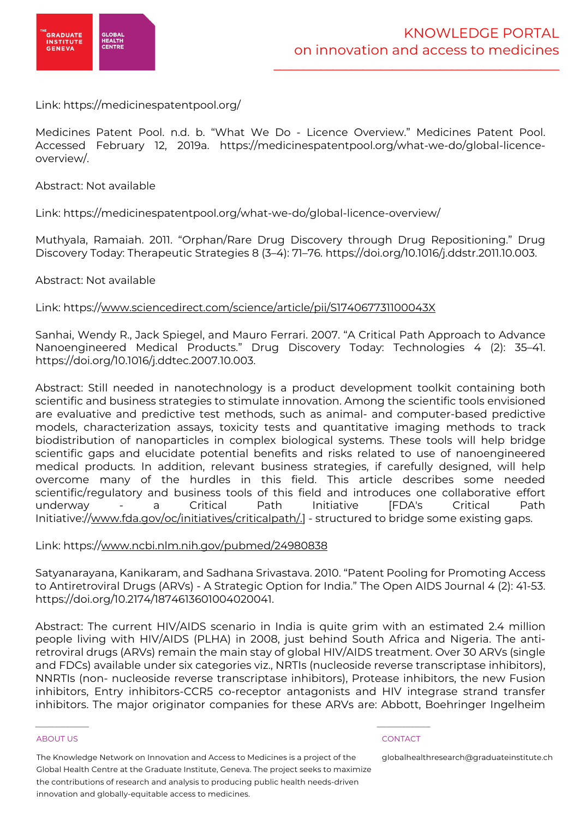

Link: https://medicinespatentpool.org/

Medicines Patent Pool. n.d. b. "What We Do - Licence Overview." Medicines Patent Pool. Accessed February 12, 2019a. https://medicinespatentpool.org/what-we-do/global-licenceoverview/.

Abstract: Not available

Link: https://medicinespatentpool.org/what-we-do/global-licence-overview/

Muthyala, Ramaiah. 2011. "Orphan/Rare Drug Discovery through Drug Repositioning." Drug Discovery Today: Therapeutic Strategies 8 (3–4): 71–76. https://doi.org/10.1016/j.ddstr.2011.10.003.

# Abstract: Not available

Link: https://www.sciencedirect.com/science/article/pii/S174067731100043X

Sanhai, Wendy R., Jack Spiegel, and Mauro Ferrari. 2007. "A Critical Path Approach to Advance Nanoengineered Medical Products." Drug Discovery Today: Technologies 4 (2): 35–41. https://doi.org/10.1016/j.ddtec.2007.10.003.

Abstract: Still needed in nanotechnology is a product development toolkit containing both scientific and business strategies to stimulate innovation. Among the scientific tools envisioned are evaluative and predictive test methods, such as animal- and computer-based predictive models, characterization assays, toxicity tests and quantitative imaging methods to track biodistribution of nanoparticles in complex biological systems. These tools will help bridge scientific gaps and elucidate potential benefits and risks related to use of nanoengineered medical products. In addition, relevant business strategies, if carefully designed, will help overcome many of the hurdles in this field. This article describes some needed scientific/regulatory and business tools of this field and introduces one collaborative effort underway - a Critical Path Initiative [FDA's Critical Path Initiative://www.fda.gov/oc/initiatives/criticalpath/.] - structured to bridge some existing gaps.

### Link: https://www.ncbi.nlm.nih.gov/pubmed/24980838

Satyanarayana, Kanikaram, and Sadhana Srivastava. 2010. "Patent Pooling for Promoting Access to Antiretroviral Drugs (ARVs) - A Strategic Option for India." The Open AIDS Journal 4 (2): 41-53. https://doi.org/10.2174/1874613601004020041.

Abstract: The current HIV/AIDS scenario in India is quite grim with an estimated 2.4 million people living with HIV/AIDS (PLHA) in 2008, just behind South Africa and Nigeria. The antiretroviral drugs (ARVs) remain the main stay of global HIV/AIDS treatment. Over 30 ARVs (single and FDCs) available under six categories viz., NRTIs (nucleoside reverse transcriptase inhibitors), NNRTIs (non- nucleoside reverse transcriptase inhibitors), Protease inhibitors, the new Fusion inhibitors, Entry inhibitors-CCR5 co-receptor antagonists and HIV integrase strand transfer inhibitors. The major originator companies for these ARVs are: Abbott, Boehringer Ingelheim

#### ABOUT US CONTACT AND A RESERVE AND LODGED AT A RESERVE AND LODGED AT A RESERVE AND LODGED AT A RESERVE AND LODGED AT A RESERVE AND LODGED AT A RESERVE AND LODGED AT A RESERVE AND LODGED AT A RESERVE AND LODGED AT A RESERVE

The Knowledge Network on Innovation and Access to Medicines is a project of the Global Health Centre at the Graduate Institute, Geneva. The project seeks to maximize the contributions of research and analysis to producing public health needs-driven innovation and globally-equitable access to medicines.

\_\_\_\_\_\_\_\_\_\_\_ \_\_\_\_\_\_\_\_\_\_\_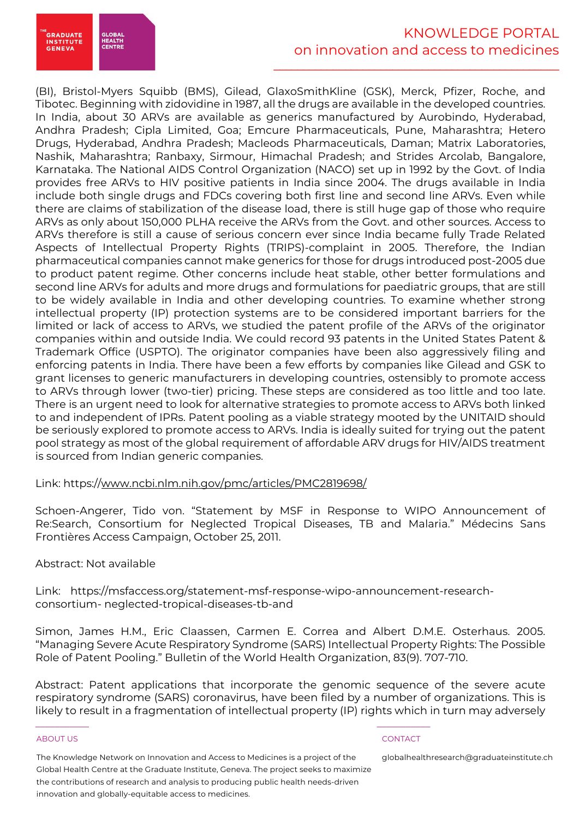

# KNOWLEDGE PORTAL on innovation and access to medicines

\_\_\_\_\_\_\_\_\_\_\_\_\_\_\_\_\_\_\_\_\_\_\_\_\_\_\_\_\_\_\_\_\_\_\_\_\_\_\_\_\_\_\_\_\_\_\_\_

(BI), Bristol-Myers Squibb (BMS), Gilead, GlaxoSmithKline (GSK), Merck, Pfizer, Roche, and Tibotec. Beginning with zidovidine in 1987, all the drugs are available in the developed countries. In India, about 30 ARVs are available as generics manufactured by Aurobindo, Hyderabad, Andhra Pradesh; Cipla Limited, Goa; Emcure Pharmaceuticals, Pune, Maharashtra; Hetero Drugs, Hyderabad, Andhra Pradesh; Macleods Pharmaceuticals, Daman; Matrix Laboratories, Nashik, Maharashtra; Ranbaxy, Sirmour, Himachal Pradesh; and Strides Arcolab, Bangalore, Karnataka. The National AIDS Control Organization (NACO) set up in 1992 by the Govt. of India provides free ARVs to HIV positive patients in India since 2004. The drugs available in India include both single drugs and FDCs covering both first line and second line ARVs. Even while there are claims of stabilization of the disease load, there is still huge gap of those who require ARVs as only about 150,000 PLHA receive the ARVs from the Govt. and other sources. Access to ARVs therefore is still a cause of serious concern ever since India became fully Trade Related Aspects of Intellectual Property Rights (TRIPS)-complaint in 2005. Therefore, the Indian pharmaceutical companies cannot make generics for those for drugs introduced post-2005 due to product patent regime. Other concerns include heat stable, other better formulations and second line ARVs for adults and more drugs and formulations for paediatric groups, that are still to be widely available in India and other developing countries. To examine whether strong intellectual property (IP) protection systems are to be considered important barriers for the limited or lack of access to ARVs, we studied the patent profile of the ARVs of the originator companies within and outside India. We could record 93 patents in the United States Patent & Trademark Office (USPTO). The originator companies have been also aggressively filing and enforcing patents in India. There have been a few efforts by companies like Gilead and GSK to grant licenses to generic manufacturers in developing countries, ostensibly to promote access to ARVs through lower (two-tier) pricing. These steps are considered as too little and too late. There is an urgent need to look for alternative strategies to promote access to ARVs both linked to and independent of IPRs. Patent pooling as a viable strategy mooted by the UNITAID should be seriously explored to promote access to ARVs. India is ideally suited for trying out the patent pool strategy as most of the global requirement of affordable ARV drugs for HIV/AIDS treatment is sourced from Indian generic companies.

Link: https://www.ncbi.nlm.nih.gov/pmc/articles/PMC2819698/

Schoen-Angerer, Tido von. "Statement by MSF in Response to WIPO Announcement of Re:Search, Consortium for Neglected Tropical Diseases, TB and Malaria." Médecins Sans Frontières Access Campaign, October 25, 2011.

# Abstract: Not available

Link: https://msfaccess.org/statement-msf-response-wipo-announcement-researchconsortium- neglected-tropical-diseases-tb-and

Simon, James H.M., Eric Claassen, Carmen E. Correa and Albert D.M.E. Osterhaus. 2005. "Managing Severe Acute Respiratory Syndrome (SARS) Intellectual Property Rights: The Possible Role of Patent Pooling." Bulletin of the World Health Organization, 83(9). 707-710.

Abstract: Patent applications that incorporate the genomic sequence of the severe acute respiratory syndrome (SARS) coronavirus, have been filed by a number of organizations. This is likely to result in a fragmentation of intellectual property (IP) rights which in turn may adversely

#### ABOUT US CONTACT AND A RESERVE AND LODGED AT A RESERVE AND LODGED AT A RESERVE AND LODGED AT A RESERVE AND LODGED AT A RESERVE AND LODGED AT A RESERVE AND LODGED AT A RESERVE AND LODGED AT A RESERVE AND LODGED AT A RESERVE

The Knowledge Network on Innovation and Access to Medicines is a project of the Global Health Centre at the Graduate Institute, Geneva. The project seeks to maximize the contributions of research and analysis to producing public health needs-driven innovation and globally-equitable access to medicines.

\_\_\_\_\_\_\_\_\_\_\_ \_\_\_\_\_\_\_\_\_\_\_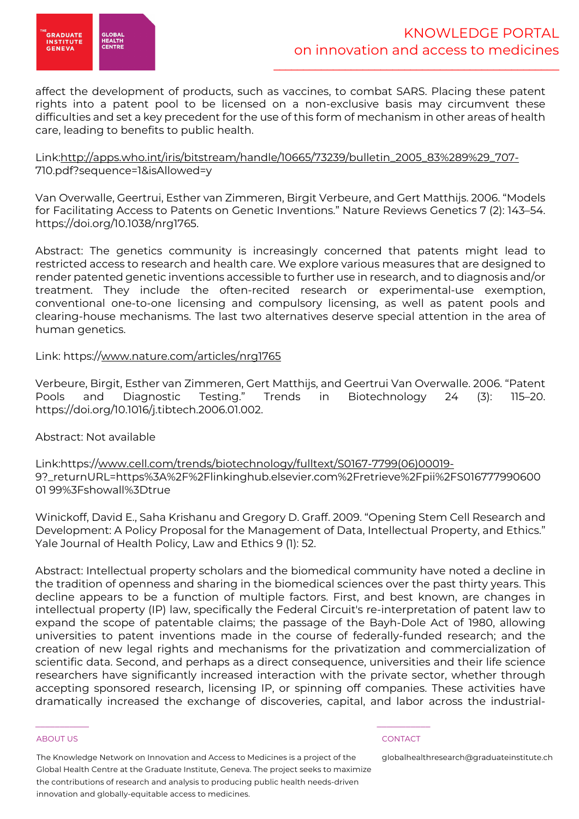

affect the development of products, such as vaccines, to combat SARS. Placing these patent rights into a patent pool to be licensed on a non-exclusive basis may circumvent these difficulties and set a key precedent for the use of this form of mechanism in other areas of health care, leading to benefits to public health.

# Link:http://apps.who.int/iris/bitstream/handle/10665/73239/bulletin\_2005\_83%289%29\_707- 710.pdf?sequence=1&isAllowed=y

Van Overwalle, Geertrui, Esther van Zimmeren, Birgit Verbeure, and Gert Matthijs. 2006. "Models for Facilitating Access to Patents on Genetic Inventions." Nature Reviews Genetics 7 (2): 143–54. https://doi.org/10.1038/nrg1765.

Abstract: The genetics community is increasingly concerned that patents might lead to restricted access to research and health care. We explore various measures that are designed to render patented genetic inventions accessible to further use in research, and to diagnosis and/or treatment. They include the often-recited research or experimental-use exemption, conventional one-to-one licensing and compulsory licensing, as well as patent pools and clearing-house mechanisms. The last two alternatives deserve special attention in the area of human genetics.

# Link: https://www.nature.com/articles/nrg1765

Verbeure, Birgit, Esther van Zimmeren, Gert Matthijs, and Geertrui Van Overwalle. 2006. "Patent Pools and Diagnostic Testing." Trends in Biotechnology 24 (3): 115–20. https://doi.org/10.1016/j.tibtech.2006.01.002.

### Abstract: Not available

Link:https://www.cell.com/trends/biotechnology/fulltext/S0167-7799(06)00019- 9?\_returnURL=https%3A%2F%2Flinkinghub.elsevier.com%2Fretrieve%2Fpii%2FS016777990600 01 99%3Fshowall%3Dtrue

Winickoff, David E., Saha Krishanu and Gregory D. Graff. 2009. "Opening Stem Cell Research and Development: A Policy Proposal for the Management of Data, Intellectual Property, and Ethics." Yale Journal of Health Policy, Law and Ethics 9 (1): 52.

Abstract: Intellectual property scholars and the biomedical community have noted a decline in the tradition of openness and sharing in the biomedical sciences over the past thirty years. This decline appears to be a function of multiple factors. First, and best known, are changes in intellectual property (IP) law, specifically the Federal Circuit's re-interpretation of patent law to expand the scope of patentable claims; the passage of the Bayh-Dole Act of 1980, allowing universities to patent inventions made in the course of federally-funded research; and the creation of new legal rights and mechanisms for the privatization and commercialization of scientific data. Second, and perhaps as a direct consequence, universities and their life science researchers have significantly increased interaction with the private sector, whether through accepting sponsored research, licensing IP, or spinning off companies. These activities have dramatically increased the exchange of discoveries, capital, and labor across the industrial-

#### ABOUT US CONTACT AND A RESERVE AND LODGED AT A RESERVE AND LODGED AT A RESERVE AND LODGED AT A RESERVE AND LODGED AT A RESERVE AND LODGED AT A RESERVE AND LODGED AT A RESERVE AND LODGED AT A RESERVE AND LODGED AT A RESERVE

The Knowledge Network on Innovation and Access to Medicines is a project of the Global Health Centre at the Graduate Institute, Geneva. The project seeks to maximize the contributions of research and analysis to producing public health needs-driven innovation and globally-equitable access to medicines.

\_\_\_\_\_\_\_\_\_\_\_ \_\_\_\_\_\_\_\_\_\_\_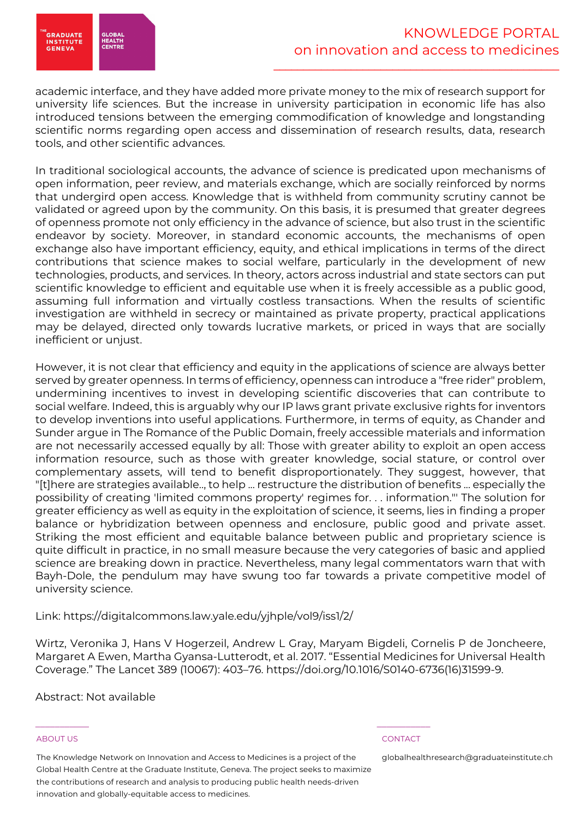

academic interface, and they have added more private money to the mix of research support for university life sciences. But the increase in university participation in economic life has also introduced tensions between the emerging commodification of knowledge and longstanding scientific norms regarding open access and dissemination of research results, data, research tools, and other scientific advances.

In traditional sociological accounts, the advance of science is predicated upon mechanisms of open information, peer review, and materials exchange, which are socially reinforced by norms that undergird open access. Knowledge that is withheld from community scrutiny cannot be validated or agreed upon by the community. On this basis, it is presumed that greater degrees of openness promote not only efficiency in the advance of science, but also trust in the scientific endeavor by society. Moreover, in standard economic accounts, the mechanisms of open exchange also have important efficiency, equity, and ethical implications in terms of the direct contributions that science makes to social welfare, particularly in the development of new technologies, products, and services. In theory, actors across industrial and state sectors can put scientific knowledge to efficient and equitable use when it is freely accessible as a public good, assuming full information and virtually costless transactions. When the results of scientific investigation are withheld in secrecy or maintained as private property, practical applications may be delayed, directed only towards lucrative markets, or priced in ways that are socially inefficient or unjust.

However, it is not clear that efficiency and equity in the applications of science are always better served by greater openness. In terms of efficiency, openness can introduce a "free rider" problem, undermining incentives to invest in developing scientific discoveries that can contribute to social welfare. Indeed, this is arguably why our IP laws grant private exclusive rights for inventors to develop inventions into useful applications. Furthermore, in terms of equity, as Chander and Sunder argue in The Romance of the Public Domain, freely accessible materials and information are not necessarily accessed equally by all: Those with greater ability to exploit an open access information resource, such as those with greater knowledge, social stature, or control over complementary assets, will tend to benefit disproportionately. They suggest, however, that "[t]here are strategies available.., to help ... restructure the distribution of benefits ... especially the possibility of creating 'limited commons property' regimes for. . . information."' The solution for greater efficiency as well as equity in the exploitation of science, it seems, lies in finding a proper balance or hybridization between openness and enclosure, public good and private asset. Striking the most efficient and equitable balance between public and proprietary science is quite difficult in practice, in no small measure because the very categories of basic and applied science are breaking down in practice. Nevertheless, many legal commentators warn that with Bayh-Dole, the pendulum may have swung too far towards a private competitive model of university science.

### Link: https://digitalcommons.law.yale.edu/yjhple/vol9/iss1/2/

Wirtz, Veronika J, Hans V Hogerzeil, Andrew L Gray, Maryam Bigdeli, Cornelis P de Joncheere, Margaret A Ewen, Martha Gyansa-Lutterodt, et al. 2017. "Essential Medicines for Universal Health Coverage." The Lancet 389 (10067): 403–76. https://doi.org/10.1016/S0140-6736(16)31599-9.

### Abstract: Not available

#### ABOUT US CONTACT AND A RESERVE AND LODGED AT A RESERVE AND LODGED AT A RESERVE AND LODGED AT A RESERVE AND LODGED AT A RESERVE AND LODGED AT A RESERVE AND LODGED AT A RESERVE AND LODGED AT A RESERVE AND LODGED AT A RESERVE

The Knowledge Network on Innovation and Access to Medicines is a project of the Global Health Centre at the Graduate Institute, Geneva. The project seeks to maximize the contributions of research and analysis to producing public health needs-driven innovation and globally-equitable access to medicines.

\_\_\_\_\_\_\_\_\_\_\_ \_\_\_\_\_\_\_\_\_\_\_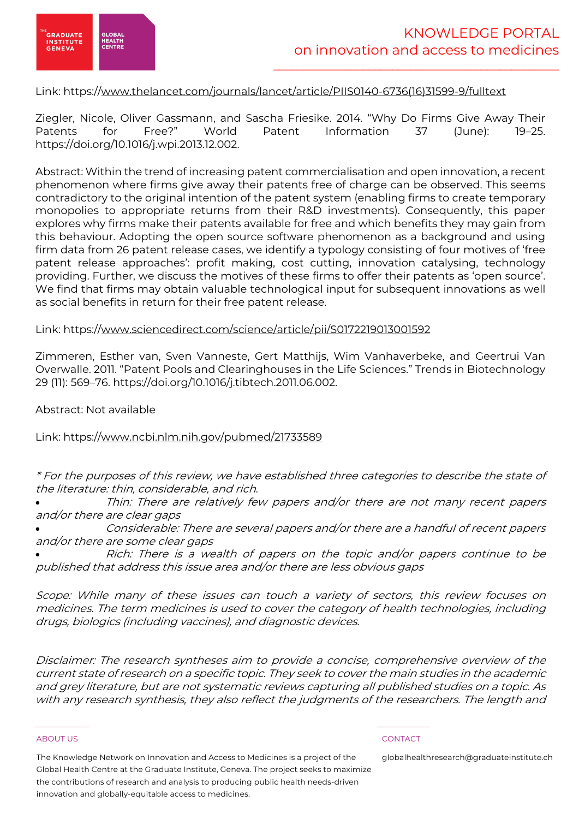

# Link: https://www.thelancet.com/journals/lancet/article/PIIS0140-6736(16)31599-9/fulltext

Ziegler, Nicole, Oliver Gassmann, and Sascha Friesike. 2014. "Why Do Firms Give Away Their Patents for Free?" World Patent Information 37 (June): 19–25. https://doi.org/10.1016/j.wpi.2013.12.002.

Abstract: Within the trend of increasing patent commercialisation and open innovation, a recent phenomenon where firms give away their patents free of charge can be observed. This seems contradictory to the original intention of the patent system (enabling firms to create temporary monopolies to appropriate returns from their R&D investments). Consequently, this paper explores why firms make their patents available for free and which benefits they may gain from this behaviour. Adopting the open source software phenomenon as a background and using firm data from 26 patent release cases, we identify a typology consisting of four motives of 'free patent release approaches': profit making, cost cutting, innovation catalysing, technology providing. Further, we discuss the motives of these firms to offer their patents as 'open source'. We find that firms may obtain valuable technological input for subsequent innovations as well as social benefits in return for their free patent release.

### Link: https://www.sciencedirect.com/science/article/pii/S0172219013001592

Zimmeren, Esther van, Sven Vanneste, Gert Matthijs, Wim Vanhaverbeke, and Geertrui Van Overwalle. 2011. "Patent Pools and Clearinghouses in the Life Sciences." Trends in Biotechnology 29 (11): 569–76. https://doi.org/10.1016/j.tibtech.2011.06.002.

Abstract: Not available

Link: https://www.ncbi.nlm.nih.gov/pubmed/21733589

\* For the purposes of this review, we have established three categories to describe the state of the literature: thin, considerable, and rich.

Thin: There are relatively few papers and/or there are not many recent papers and/or there are clear gaps

• Considerable: There are several papers and/or there are a handful of recent papers and/or there are some clear gaps

• Rich: There is a wealth of papers on the topic and/or papers continue to be published that address this issue area and/or there are less obvious gaps

Scope: While many of these issues can touch a variety of sectors, this review focuses on medicines. The term medicines is used to cover the category of health technologies, including drugs, biologics (including vaccines), and diagnostic devices.

Disclaimer: The research syntheses aim to provide a concise, comprehensive overview of the current state of research on a specific topic. They seek to cover the main studies in the academic and grey literature, but are not systematic reviews capturing all published studies on a topic. As with any research synthesis, they also reflect the judgments of the researchers. The length and

#### ABOUT US CONTACT AND A RESERVE AND LODGED AT A RESERVE AND LODGED AT A RESERVE AND LODGED AT A RESERVE AND LODGED AT A RESERVE AND LODGED AT A RESERVE AND LODGED AT A RESERVE AND LODGED AT A RESERVE AND LODGED AT A RESERVE

The Knowledge Network on Innovation and Access to Medicines is a project of the Global Health Centre at the Graduate Institute, Geneva. The project seeks to maximize the contributions of research and analysis to producing public health needs-driven innovation and globally-equitable access to medicines.

\_\_\_\_\_\_\_\_\_\_\_ \_\_\_\_\_\_\_\_\_\_\_